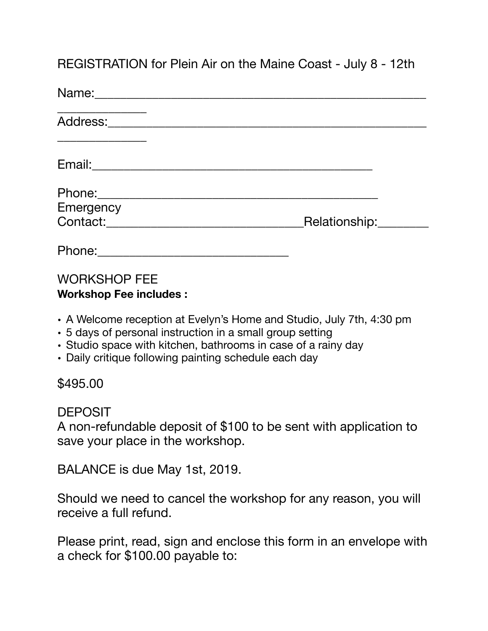REGISTRATION for Plein Air on the Maine Coast - July 8 - 12th

| Name:                 |               |
|-----------------------|---------------|
| Address:              |               |
|                       |               |
|                       |               |
| Emergency<br>Contact: | Relationship: |
|                       |               |
| Phone:                |               |

## WORKSHOP FEE **Workshop Fee includes :**

- A Welcome reception at Evelyn's Home and Studio, July 7th, 4:30 pm
- 5 days of personal instruction in a small group setting
- Studio space with kitchen, bathrooms in case of a rainy day
- Daily critique following painting schedule each day

## \$495.00

DEPOSIT

A non-refundable deposit of \$100 to be sent with application to save your place in the workshop.

BALANCE is due May 1st, 2019.

Should we need to cancel the workshop for any reason, you will receive a full refund.

Please print, read, sign and enclose this form in an envelope with a check for \$100.00 payable to: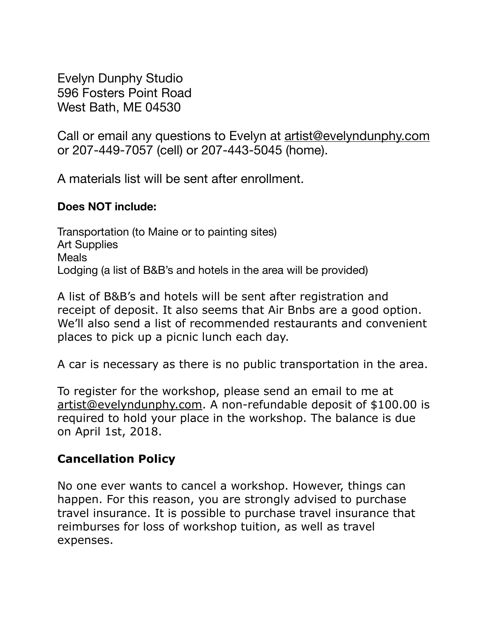Evelyn Dunphy Studio 596 Fosters Point Road West Bath, ME 04530

Call or email any questions to Evelyn at [artist@evelyndunphy.com](mailto:artist@evelyndunphy.com) or 207-449-7057 (cell) or 207-443-5045 (home).

A materials list will be sent after enrollment.

## **Does NOT include:**

Transportation (to Maine or to painting sites) Art Supplies **Meals** Lodging (a list of B&B's and hotels in the area will be provided)

A list of B&B's and hotels will be sent after registration and receipt of deposit. It also seems that Air Bnbs are a good option. We'll also send a list of recommended restaurants and convenient places to pick up a picnic lunch each day.

A car is necessary as there is no public transportation in the area.

To register for the workshop, please send an email to me at [artist@evelyndunphy.com.](mailto:artist@evelyndunphy.com) A non-refundable deposit of \$100.00 is required to hold your place in the workshop. The balance is due on April 1st, 2018.

## **Cancellation Policy**

No one ever wants to cancel a workshop. However, things can happen. For this reason, you are strongly advised to purchase travel insurance. It is possible to purchase travel insurance that reimburses for loss of workshop tuition, as well as travel expenses.